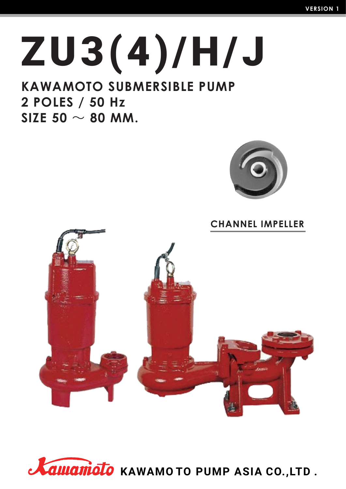# **ZU3 (4 ) /H /J**

### **KAWAMOTO SUBMERSIBLE PUMP 2 POLES / 50 Hz**  $SIZE$  50  $\sim$  80 MM.



**CHANNEL IMPELLER**



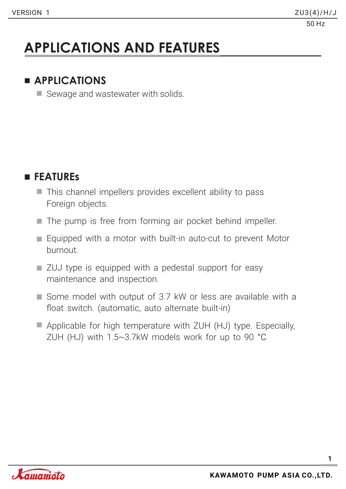### **APPLICATIONS AND FEATURES**

#### **APPLICATIONS**

Sewage and wastewater with solids.

#### **FEATUREs**

- This channel impellers provides excellent ability to pass Foreign objects.
- The pump is free from forming air pocket behind impeller.
- Equipped with a motor with built-in auto-cut to prevent Motor burnout.
- **ZUJ** type is equipped with a pedestal support for easy maintenance and inspection.
- Some model with output of 3.7 kW or less are available with a float switch. (automatic, auto alternate built-in)
- Applicable for high temperature with ZUH (HJ) type. Especially, ZUH (HJ) with 1.5~3.7kW models work for up to 90 °C

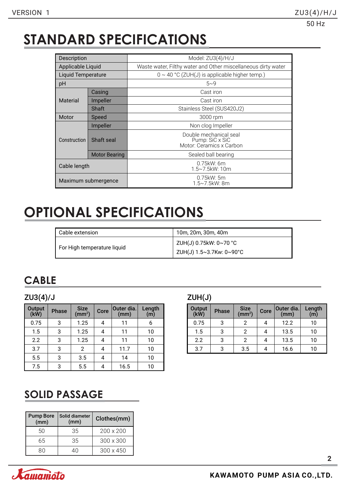### **STANDARD SPECIFICATIONS**

| Description               |                      | Model: ZU3(4)/H/J                                                     |  |  |  |  |  |  |
|---------------------------|----------------------|-----------------------------------------------------------------------|--|--|--|--|--|--|
| Applicable Liquid         |                      | Waste water, Filthy water and Other miscellaneous dirty water         |  |  |  |  |  |  |
| <b>Liquid Temperature</b> |                      | $0 \sim 40$ °C (ZUH(J) is applicable higher temp.)                    |  |  |  |  |  |  |
| pH                        |                      | $5 - 9$                                                               |  |  |  |  |  |  |
|                           | Casing               | Cast iron                                                             |  |  |  |  |  |  |
| Material<br>Impeller      |                      | Cast iron                                                             |  |  |  |  |  |  |
| Shaft                     |                      | Stainless Steel (SUS420J2)                                            |  |  |  |  |  |  |
| Motor<br>Speed            |                      | 3000 rpm                                                              |  |  |  |  |  |  |
|                           | Impeller             | Non clog Impeller                                                     |  |  |  |  |  |  |
| Construction              | Shaft seal           | Double mechanical seal<br>Pump: SiC x SiC<br>Motor: Ceramics x Carbon |  |  |  |  |  |  |
|                           | <b>Motor Bearing</b> | Sealed ball bearing                                                   |  |  |  |  |  |  |
| Cable length              |                      | $0.75$ kW: 6m<br>1.5~7.5kW: 10m                                       |  |  |  |  |  |  |
|                           | Maximum submergence  | $0.75$ kW: 5m<br>1.5~7.5kW: 8m                                        |  |  |  |  |  |  |

### **OPTIONAL SPECIFICATIONS**

| Cable extension             | 10m, 20m, 30m, 40m                                 |
|-----------------------------|----------------------------------------------------|
| For High temperature liquid | ZUH(J) 0.75kW: 0~70 °C<br>ZUH(J) 1.5~3.7Kw: 0~90°C |

#### **CABLE**

#### ZU3(4)/J ZUH(J)

| <b>Output</b><br>(kW) | <b>Phase</b> | <b>Size</b><br>(mm <sup>2</sup> ) | Core | Outer dia.<br>(mm) | Length<br>(m) |
|-----------------------|--------------|-----------------------------------|------|--------------------|---------------|
| 0.75                  | 3            | 1.25                              |      | 11                 | 6             |
| 1.5                   | 3            | 1.25                              | 4    | 11                 | 10            |
| 2.2                   | 3            | 1.25                              | 4    | 11                 | 10            |
| 3.7                   | 3            | 2                                 |      | 11.7               | 10            |
| 5.5                   | 3            | 3.5                               |      | 14                 | 10            |
| 7.5                   | 3            | 5.5                               |      | 16.5               | 10            |

| <b>Output</b><br>(kW) | <b>Phase</b> | Size<br>(mm <sup>2</sup> ) | Core | Outer dia.<br>(mm) | Length<br>(m) |
|-----------------------|--------------|----------------------------|------|--------------------|---------------|
| 0.75                  | 3            | 2                          |      | 12.2               | 10            |
| 1.5                   | 3            |                            |      | 13.5               | 10            |
| 2.2                   | 3            |                            |      | 13.5               | 10            |
| 3.7                   | ર            | 3.5                        |      | 16.6               | 10            |

#### **SOLID PASSAGE**

| <b>Pump Bore</b><br>(mm) | Solid diameter<br>(mm) | Clothes(mm)      |
|--------------------------|------------------------|------------------|
| 50                       | 35                     | $200 \times 200$ |
| 65                       | 35                     | $300 \times 300$ |
|                          |                        | $300 \times 450$ |

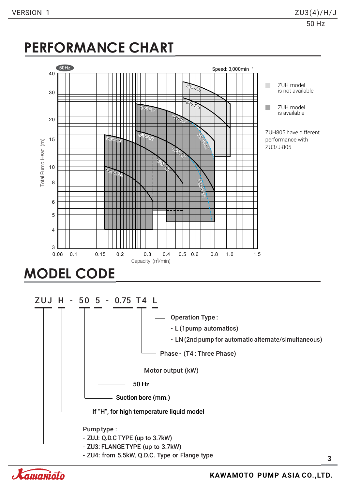### **PERFORMANCE CHART**



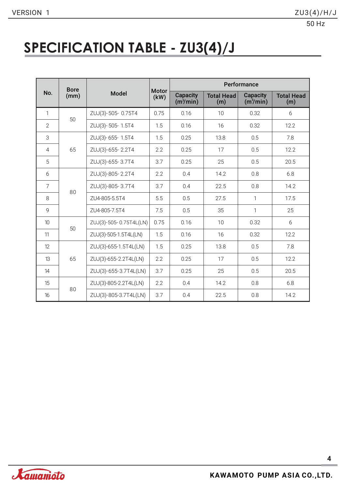### **SPECIFICATION TABLE - ZU3(4)/J**

|                 | <b>Bore</b> |                        |                      | Performance                              |                          |                                   |                          |  |  |  |  |  |
|-----------------|-------------|------------------------|----------------------|------------------------------------------|--------------------------|-----------------------------------|--------------------------|--|--|--|--|--|
| No.             | (mm)        | <b>Model</b>           | <b>Motor</b><br>(kW) | <b>Capacity</b><br>(m <sup>3</sup> /min) | <b>Total Head</b><br>(m) | Capacity<br>(m <sup>3</sup> /min) | <b>Total Head</b><br>(m) |  |  |  |  |  |
| 1               | 50          | ZUJ(3)-505-0.75T4      | 0.75                 | 0.16                                     | 10                       | 0.32                              | 6                        |  |  |  |  |  |
| $\overline{2}$  |             | ZUJ(3)-505-1.5T4       | 1.5                  | 0.16                                     | 0.32<br>16               |                                   | 12.2                     |  |  |  |  |  |
| 3               |             | ZUJ(3)-655-1.5T4       | 1.5                  | 0.25                                     | 13.8                     | 0.5                               | 7.8                      |  |  |  |  |  |
| $\overline{4}$  | 65          | ZUJ(3)-655-2.2T4       |                      | 0.25                                     | 17                       | 0.5                               |                          |  |  |  |  |  |
| 5               |             | ZUJ(3)-655-3.7T4       | 3.7                  | 0.25                                     | 25                       | 0.5                               | 20.5                     |  |  |  |  |  |
| 6               |             | ZUJ(3)-805-2.2T4       | 2.2                  | 0.4                                      | 14.2                     | 0.8                               | 6.8                      |  |  |  |  |  |
| $\overline{7}$  | 80          | ZUJ(3)-805-3.7T4       | 3.7                  | 0.4                                      | 22.5                     | 0.8                               | 14.2                     |  |  |  |  |  |
| 8               |             | ZU4-805-5.5T4          |                      | 0.5                                      | 27.5                     | 1                                 | 17.5                     |  |  |  |  |  |
| 9               |             | ZU4-805-7.5T4          | 7.5                  | 0.5                                      | 35                       | $\mathbf{1}$                      | 25                       |  |  |  |  |  |
| 10 <sup>1</sup> | 50          | ZUJ(3)-505-0.75T4L(LN) | 0.75                 | 0.16                                     | 10                       | 0.32                              | 6                        |  |  |  |  |  |
| 11              |             | ZUJ(3)-505-1.5T4L(LN)  | 1.5                  | 0.16                                     | 16                       | 0.32                              | 12.2                     |  |  |  |  |  |
| 12              |             | ZUJ(3)-655-1.5T4L(LN)  | 1.5                  | 0.25                                     | 13.8                     | 0.5                               | 7.8                      |  |  |  |  |  |
| 13              | 65          | ZUJ(3)-655-2.2T4L(LN)  | 2.2                  | 0.25                                     | 17                       | 0.5                               | 12.2                     |  |  |  |  |  |
| 14              |             | ZUJ(3)-655-3.7T4L(LN)  | 3.7                  | 0.25                                     | 25                       | 0.5                               | 20.5                     |  |  |  |  |  |
| 15              | 80          | ZUJ(3)-805-2.2T4L(LN)  | 2.2                  | 0.4                                      | 14.2                     | 0.8                               | 6.8                      |  |  |  |  |  |
| 16              |             | ZUJ(3)-805-3.7T4L(LN)  | 3.7                  | 0.4                                      | 22.5                     | 0.8                               | 14.2                     |  |  |  |  |  |

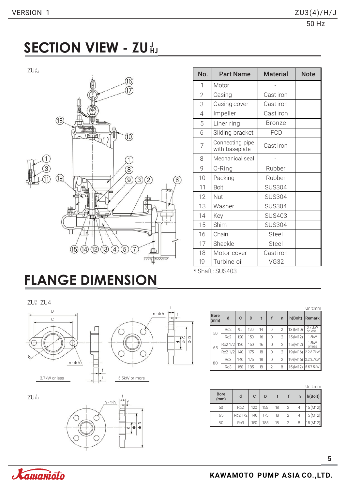### **SECTION VIEW - ZU** HJ

ZU¦



| J<br>HJ        |                                                                                       | No.            | <b>Part Name</b>                  | <b>Material</b> | <b>Note</b> |
|----------------|---------------------------------------------------------------------------------------|----------------|-----------------------------------|-----------------|-------------|
|                | 16                                                                                    | 1              | Motor                             |                 |             |
|                |                                                                                       | $\overline{2}$ | Casing                            | Cast iron       |             |
|                |                                                                                       | 3              | Casing cover                      | Cast iron       |             |
|                |                                                                                       | $\overline{4}$ | Impeller                          | Castiron        |             |
|                | (18)                                                                                  | 5              | Liner ring                        | <b>Bronze</b>   |             |
|                | (10)<br>о ю                                                                           | 6              | Sliding bracket                   | <b>FCD</b>      |             |
|                |                                                                                       | $\overline{7}$ | Connecting pipe<br>with baseplate | Cast iron       |             |
|                |                                                                                       | 8              | Mechanical seal                   |                 |             |
| $\mathfrak{B}$ | $\circledR$                                                                           | 9              | O-Ring                            | Rubber          |             |
|                | $\left( \overline{19}\right)$<br>$\binom{3}{}$<br>$\boxed{9}$<br>$\overline{2}$<br>6) | 10             | Packing                           | Rubber          |             |
|                |                                                                                       | 11             | Bolt                              | <b>SUS304</b>   |             |
|                | ╥┼╥                                                                                   | 12             | <b>Nut</b>                        | <b>SUS304</b>   |             |
|                |                                                                                       | 13             | Washer                            | <b>SUS304</b>   |             |
|                |                                                                                       | 14             | Key                               | <b>SUS403</b>   |             |
|                |                                                                                       | 15             | Shim                              | <b>SUS304</b>   |             |
|                |                                                                                       | 16             | Chain                             | Steel           |             |
|                |                                                                                       | 17             | Shackle                           | Steel           |             |
|                | (12)<br>(13)<br>(15)<br>$\left(4\right)$<br>$\left(5\right)$<br>(14)<br>æ             | 18             | Motor cover                       | Cast iron       |             |
|                | myn                                                                                   | 19             | Turbine oil                       | <b>VG32</b>     |             |

\* Shaft: SUS403

## **FLANGE DIMENSION**

ZUª ZU4





ZUW



|                     |         |     |     |    |                |                |                     | Unit:mm           |
|---------------------|---------|-----|-----|----|----------------|----------------|---------------------|-------------------|
| <b>Bore</b><br>(mm) | d       | C   | D   | t  | f              | $\mathsf{r}$   | h(Bo <sub>l</sub> ) | Remark            |
| 50                  | Rc2     | 95  | 120 | 14 | 0              | $\overline{2}$ | 13 (M10)            | 0.75kW<br>or less |
|                     | Rc2     | 120 | 150 | 16 | 0              | $\overline{2}$ | 15 (M12)            | 1.5kW             |
| 65                  | Rc2 1/2 | 120 | 150 | 16 | 0              | $\mathfrak{D}$ | 15 (M12)            | 1.5kW<br>or less  |
|                     | Rc2 1/2 | 140 | 175 | 18 | $\Omega$       | $\mathfrak{D}$ | 19 (M16)            | 2.2,3.7kW         |
| 80                  | Rc3     | 140 | 175 | 18 | 0              | $\mathfrak{D}$ | 19 (M16)            | 2.2,3.7kW         |
|                     | Rc3     | 150 | 185 | 18 | $\overline{2}$ | 8              | 15 (M12)            | 5.5,7.5kW         |

| <b>Bore</b><br>(mm) | d       | C<br>D |     |    |                | $\mathsf{n}$ | h(Bolt)  |
|---------------------|---------|--------|-----|----|----------------|--------------|----------|
| 50                  | Rc2     | 120    | 155 | 18 | $\mathfrak{D}$ | 4            | 15 (M12) |
| 65                  | Rc2 1/2 | 140    | 175 | 18 | 2              | 4            | 15(M12)  |
| 80                  | Rc3     | 150    | 185 | 18 | 2              | 8            | 15 (M12) |

**5**

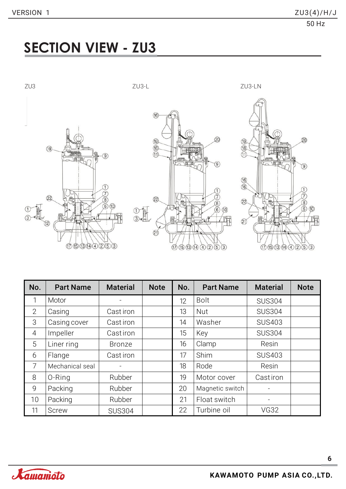### **SECTION VIEW - ZU3**



| No.            | <b>Part Name</b> | <b>Material</b> | <b>Note</b> | No. | <b>Part Name</b> | <b>Material</b> | <b>Note</b> |
|----------------|------------------|-----------------|-------------|-----|------------------|-----------------|-------------|
| 1              | Motor            |                 |             | 12  | <b>Bolt</b>      | <b>SUS304</b>   |             |
| 2              | Casing           | Cast iron       |             | 13  | <b>Nut</b>       | <b>SUS304</b>   |             |
| 3              | Casing cover     | Cast iron       |             | 14  | Washer           | <b>SUS403</b>   |             |
| $\overline{4}$ | Impeller         | Castiron        |             | 15  | Key              | <b>SUS304</b>   |             |
| 5              | Liner ring       | <b>Bronze</b>   |             | 16  | Clamp            | Resin           |             |
| 6              | Flange           | Cast iron       |             | 17  | Shim             | <b>SUS403</b>   |             |
| $\overline{7}$ | Mechanical seal  |                 |             | 18  | Rode             | Resin           |             |
| 8              | 0-Ring           | Rubber          |             | 19  | Motor cover      | <b>Castiron</b> |             |
| 9              | Packing          | Rubber          |             | 20  | Magnetic switch  |                 |             |
| 10             | Packing          | Rubber          |             | 21  | Float switch     |                 |             |
| 11             | <b>Screw</b>     | <b>SUS304</b>   |             | 22  | Turbine oil      | <b>VG32</b>     |             |

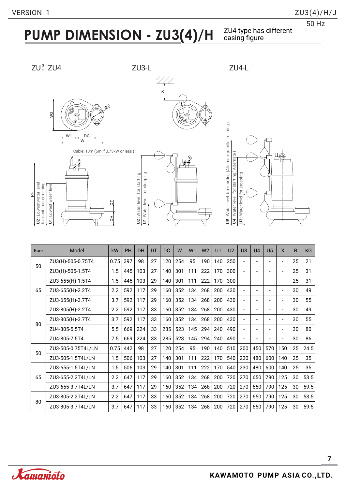### **PUMP DIMENSION - ZU3(4)/H**

ZU4 type has different<br>casing figure







Cable: 10m (6m if 0.75kW or less )







| <b>Bore</b> | Model              | kW   | <b>PH</b> | DH  | DT | <b>DC</b> | W   | W1  | W <sub>2</sub> | U <sub>1</sub> | U <sub>2</sub> | U <sub>3</sub>           | U <sub>4</sub> | U <sub>5</sub>           | X                        | $\mathsf{R}$ | <b>KG</b> |
|-------------|--------------------|------|-----------|-----|----|-----------|-----|-----|----------------|----------------|----------------|--------------------------|----------------|--------------------------|--------------------------|--------------|-----------|
| 50          | ZU3(H)-505-0.75T4  | 0.75 | 397       | 98  | 27 | 120       | 254 | 95  | 190            | 140            | 250            | $\overline{\phantom{a}}$ |                |                          | $\overline{\phantom{a}}$ | 25           | 21        |
|             | ZU3(H)-505-1.5T4   | 1.5  | 445       | 103 | 27 | 140       | 301 | 111 | 222            | 170            | 300            | $\overline{\phantom{a}}$ | $\blacksquare$ | $\overline{\phantom{a}}$ | $\blacksquare$           | 25           | 31        |
|             | ZU3-655(H)-1.5T4   | 1.5  | 445       | 103 | 29 | 140       | 301 | 111 | 222            | 170            | 300            | $\overline{\phantom{a}}$ |                |                          | $\overline{\phantom{a}}$ | 25           | 31        |
| 65          | ZU3-655(H)-2.2T4   | 2.2  | 592       | 117 | 29 | 160       | 352 | 134 | 268            | 200            | 430            | $\overline{\phantom{a}}$ |                |                          | $\overline{\phantom{a}}$ | 30           | 49        |
|             | ZU3-655(H)-3.7T4   | 3.7  | 592       | 117 | 29 | 160       | 352 | 134 | 268            | 200            | 430            | $\blacksquare$           |                |                          | $\blacksquare$           | 30           | 55        |
|             | ZU3-805(H)-2.2T4   | 2.2  | 592       | 117 | 33 | 160       | 352 | 134 | 268            | 200            | 430            | $\blacksquare$           |                |                          | $\blacksquare$           | 30           | 49        |
| 80          | ZU3-805(H)-3.7T4   | 3.7  | 592       | 117 | 33 | 160       | 352 | 134 | 268            | 200            | 430            | $\overline{\phantom{a}}$ | $\blacksquare$ | $\overline{a}$           | $\overline{\phantom{a}}$ | 30           | 55        |
|             | ZU4-805-5.5T4      | 5.5  | 669       | 224 | 33 | 285       | 523 | 145 | 294            | 240            | 490            | $\blacksquare$           |                | $\overline{\phantom{a}}$ | $\blacksquare$           | 30           | 80        |
|             | ZU4-805-7.5T4      | 7.5  | 669       | 224 | 33 | 285       | 523 | 145 | 294            | 240            | 490            | $\overline{\phantom{a}}$ |                | $\overline{\phantom{a}}$ | $\blacksquare$           | 30           | 86        |
| 50          | ZU3-505-0.75T4L/LN | 0.75 | 442       | 98  | 27 | 120       | 254 | 95  | 190            | 140            | 510            | 200                      | 450            | 570                      | 150                      | 25           | 24.5      |
|             | ZU3-505-1.5T4L/LN  | 1.5  | 506       | 103 | 27 | 140       | 301 | 111 | 222            | 170            | 540            | 230                      | 480            | 600                      | 140                      | 25           | 35        |
|             | ZU3-655-1.5T4L/LN  | 1.5  | 506       | 103 | 29 | 140       | 301 | 111 | 222            | 170            | 540            | 230                      | 480            | 600                      | 140                      | 25           | 35        |
| 65          | ZU3-655-2.2T4L/LN  | 2.2  | 647       | 117 | 29 | 160       | 352 | 134 | 268            | 200            | 720            | 270                      | 650            | 790                      | 125                      | 30           | 53.5      |
|             | ZU3-655-3.7T4L/LN  | 3.7  | 647       | 117 | 29 | 160       | 352 | 134 | 268            | 200            | 720            | 270                      | 650            | 790                      | 125                      | 30           | 59.5      |
| 80          | ZU3-805-2.2T4L/LN  | 2.2  | 647       | 117 | 33 | 160       | 352 | 134 | 268            | 200            | 720            | 270                      | 650            | 790                      | 125                      | 30           | 53.5      |
|             | ZU3-805-3.7T4L/LN  | 3.7  | 647       | 117 | 33 | 160       | 352 | 134 | 268            | 200            | 720            | 270                      | 650            | 790                      | 125                      | 30           | 59.5      |

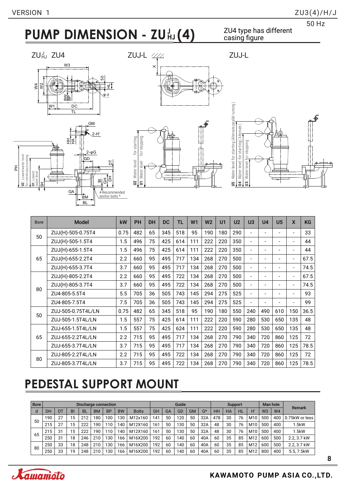### **PUMP DIMENSION - ZU HJ**

#### ZU4 type has different casing figure

ZUHJ ZU4











| <b>Bore</b> | <b>Model</b>       | kW   | PH  | <b>DH</b> | <b>DC</b> | TL  | W <sub>1</sub> | W <sub>2</sub> | U1  | U <sub>2</sub> | U <sub>3</sub>           | U <sub>4</sub> | U <sub>5</sub>           | X                        | <b>KG</b> |
|-------------|--------------------|------|-----|-----------|-----------|-----|----------------|----------------|-----|----------------|--------------------------|----------------|--------------------------|--------------------------|-----------|
| 50          | ZUJ(H)-505-0.75T4  | 0.75 | 482 | 65        | 345       | 518 | 95             | 190            | 180 | 290            | Ξ.                       |                | ۳                        | ۰                        | 33        |
|             | ZUJ(H)-505-1.5T4   | 1.5  | 496 | 75        | 425       | 614 | 111            | 222            | 220 | 350            | ٠                        |                | $\overline{a}$           | ٠                        | 44        |
| 65          | ZUJ(H)-655-1.5T4   | 1.5  | 496 | 75        | 425       | 614 | 111            | 222            | 220 | 350            | $\overline{\phantom{a}}$ |                | ۰                        | ٠                        | 44        |
|             | ZUJ(H)-655-2.2T4   | 2.2  | 660 | 95        | 495       | 717 | 134            | 268            | 270 | 500            | $\overline{\phantom{0}}$ |                | $\overline{a}$           | $\blacksquare$           | 67.5      |
|             | ZUJ(H)-655-3.7T4   | 3.7  | 660 | 95        | 495       | 717 | 134            | 268            | 270 | 500            | Ξ.                       |                | ٠                        | $\overline{\phantom{a}}$ | 74.5      |
|             | ZUJ(H)-805-2.2T4   | 2.2  | 660 | 95        | 495       | 722 | 134            | 268            | 270 | 500            | $\overline{\phantom{0}}$ |                | ۰                        | $\blacksquare$           | 67.5      |
| 80          | ZUJ(H)-805-3.7T4   | 3.7  | 660 | 95        | 495       | 722 | 134            | 268            | 270 | 500            | ٠                        |                | ۰                        | $\blacksquare$           | 74.5      |
|             | ZU4-805-5.5T4      | 5.5  | 705 | 36        | 505       | 743 | 145            | 294            | 275 | 525            | $\overline{\phantom{a}}$ |                | ۰                        | ٠                        | 93        |
|             | ZU4-805-7.5T4      | 7.5  | 705 | 36        | 505       | 743 | 145            | 294            | 275 | 525            | $\overline{\phantom{0}}$ |                | $\overline{\phantom{0}}$ | ۰                        | 99        |
| 50          | ZUJ-505-0.75T4L/LN | 0.75 | 482 | 65        | 345       | 518 | 95             | 190            | 180 | 550            | 240                      | 490            | 610                      | 150                      | 36.5      |
|             | ZUJ-505-1.5T4L/LN  | 1.5  | 557 | 75        | 425       | 614 | 111            | 222            | 220 | 590            | 280                      | 530            | 650                      | 135                      | 48        |
|             | ZUJ-655-1.5T4L/LN  | 1.5  | 557 | 75        | 425       | 624 | 111            | 222            | 220 | 590            | 280                      | 530            | 650                      | 135                      | 48        |
| 65          | ZUJ-655-2.2T4L/LN  | 2.2  | 715 | 95        | 495       | 717 | 134            | 268            | 270 | 790            | 340                      | 720            | 860                      | 125                      | 72        |
|             | ZUJ-655-3.7T4L/LN  | 3.7  | 715 | 95        | 495       | 717 | 134            | 268            | 270 | 790            | 340                      | 720            | 860                      | 125                      | 78.5      |
|             | ZUJ-805-2.2T4L/LN  | 2.2  | 715 | 95        | 495       | 722 | 134            | 268            | 270 | 790            | 340                      | 720            | 860                      | 125                      | 72        |
| 80          | ZUJ-805-3.7T4L/LN  | 3.7  | 715 | 95        | 495       | 722 | 134            | 268            | 270 | 790            | 340                      | 720            | 860                      | 125                      | 78.5      |

### **PEDESTAL SUPPORT MOUNT**

| <b>Bore</b> | <b>Discharge connection</b> |           |    |           |           |           |           |              | Guide |    |     |           |       | <b>Support</b> |    |    |                 | Man hole       |                | Remark         |
|-------------|-----------------------------|-----------|----|-----------|-----------|-----------|-----------|--------------|-------|----|-----|-----------|-------|----------------|----|----|-----------------|----------------|----------------|----------------|
| d           | DH                          | <b>DT</b> | BI | <b>BL</b> | <b>BM</b> | <b>BP</b> | <b>BW</b> | <b>Bolts</b> | GH    | GA | GD  | <b>GM</b> | $G^*$ | HH             | HA | HL | H'              | W <sub>3</sub> | W <sub>4</sub> |                |
| 50          | 190                         | 27        | 15 | 212       | 180       | 100       | 130       | M12x160      | 141   | 50 | 120 | 50        | 32A   | 478            | 30 | 76 | M <sub>10</sub> | 500            | 400            | 0.75kW or less |
|             | 215                         | 27        | 15 | 222       | 190       | 110       | 140       | M12X160      | 161   | 50 | 130 | 50        | 32A   | 48             | 30 | 76 | M10             | 500            | 400            | 1.5kW          |
| 65          | 215                         | 31        | 15 | 222       | 190       | 110       | 140       | M12X160      | 161   | 50 | 130 | 50        | 32A   | 48             | 30 | 76 | M10             | 500            | 400            | 1.5kW          |
|             | 250                         | 31        | 18 | 246       | 210       | 130       | 166       | M16X200      | 192   | 60 | 140 | 60        | 40A   | 60             | 35 | 85 | M <sub>12</sub> | 600            | 500            | 2.2.3.7 kW     |
| 80          | 250                         | 33        | 18 | 248       | 210       | 130       | 166       | M16X200      | 192   | 60 | 140 | 60        | 40A   | 60             | 35 | 85 | M12             | 600            | 500            | 2.2.3.7 kW     |
|             | 250                         | 33        | 19 | 248       | 210       | 130       | 166       | M16X200      | 192   | 60 | 140 | 60        | 40A   | 60             | 35 | 85 | M12             | 800            | 400            | 5.5.7.5kW      |

**8**

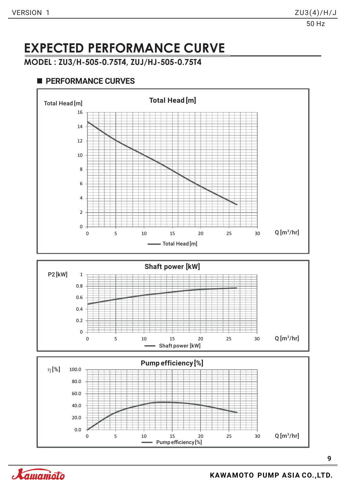### **EXPECTED PERFORMANCE CURVE**

**MODEL : ZU3/H-505-0.75T4, ZUJ/HJ-505-0.75T4**

#### **PERFORMANCE CURVES**





0 5 10 15 20 25 30

Pump efficiency [%]

0.0

20.0

 $Q$ [m $^3$ /hr]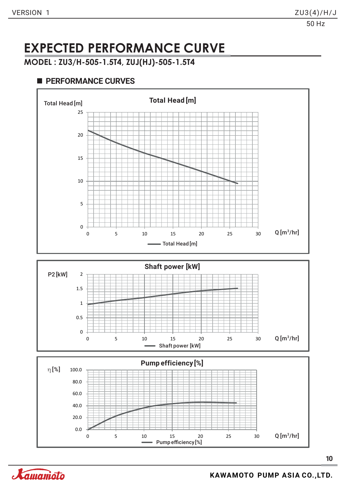### **EXPECTED PERFORMANCE CURVE**

**MODEL : ZU3/H-505-1.5T4, ZUJ(HJ)-505-1.5T4**

#### **PERFORMANCE CURVES**

0.0

Xamamoto





Pump efficiency [%]

0 5 10 15 20 25 30

 $Q$ [m $^3$ /hr]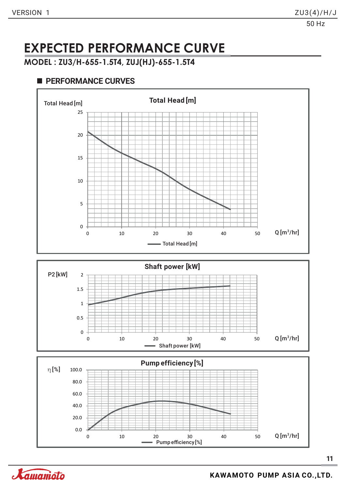### **EXPECTED PERFORMANCE CURVE**

**MODEL : ZU3/H-655-1.5T4, ZUJ(HJ)-655-1.5T4**







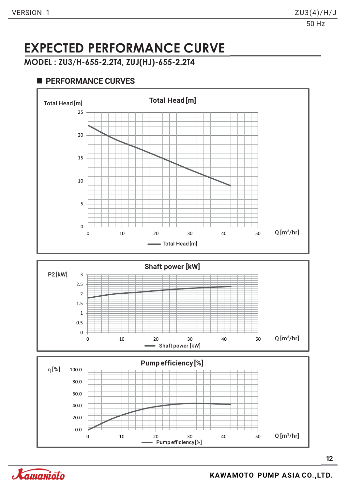### **EXPECTED PERFORMANCE CURVE**

**MODEL : ZU3/H-655-2.2T4, ZUJ(HJ)-655-2.2T4**

#### **PERFORMANCE CURVES**

0





0 10 20 30 40 50

**12**



 $Q$ [m $^3$ /hr]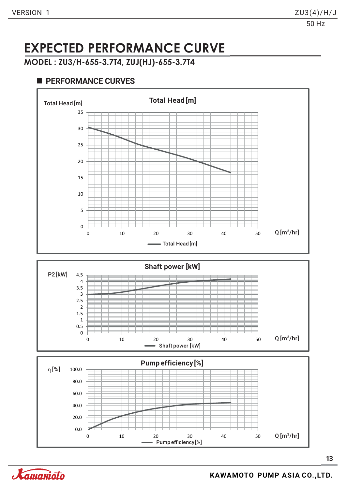### **EXPECTED PERFORMANCE CURVE**

**MODEL : ZU3/H-655-3.7T4, ZUJ(HJ)-655-3.7T4**

#### **PERFORMANCE CURVES**



0 10 20 30 40 50

Pump efficiency [%]



0.0

20.0

40.0

 $Q$ [m $^3$ /hr]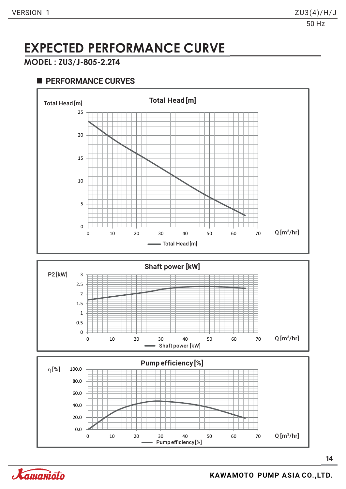### **EXPECTED PERFORMANCE CURVE**

#### **MODEL : ZU3/J-805-2.2T4**





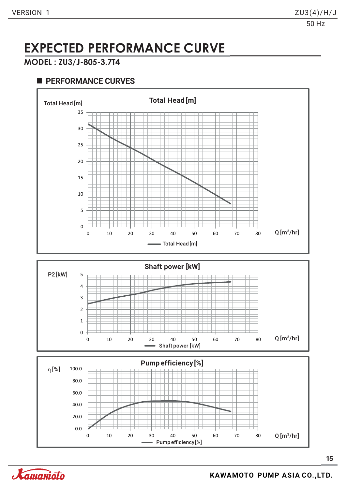### **EXPECTED PERFORMANCE CURVE**

#### **MODEL : ZU3/J-805-3.7T4**



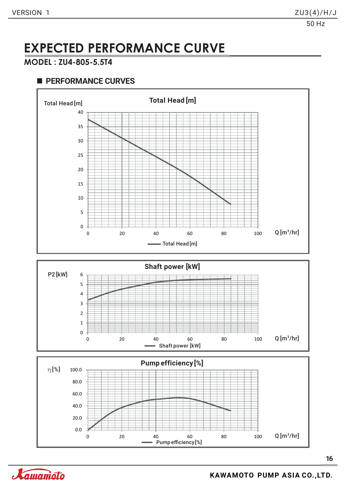### **EXPECTED PERFORMANCE CURVE**

#### **MODEL : ZU4-805-5.5T4**



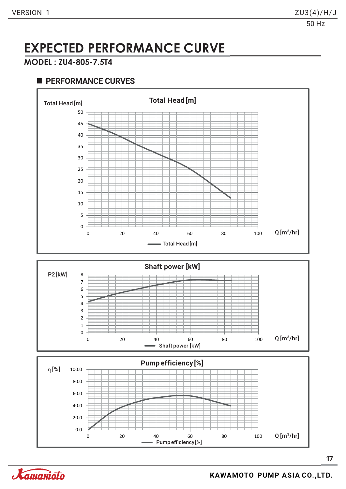### **EXPECTED PERFORMANCE CURVE**

#### **MODEL : ZU4-805-7.5T4**



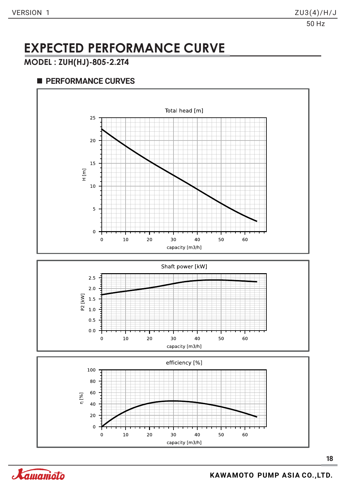### **EXPECTED PERFORMANCE CURVE**

#### **MODEL : ZUH(HJ)-805-2.2T4**







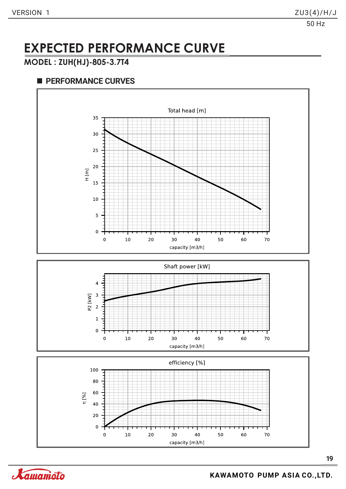### **EXPECTED PERFORMANCE CURVE**

#### **MODEL : ZUH(HJ)-805-3.7T4**